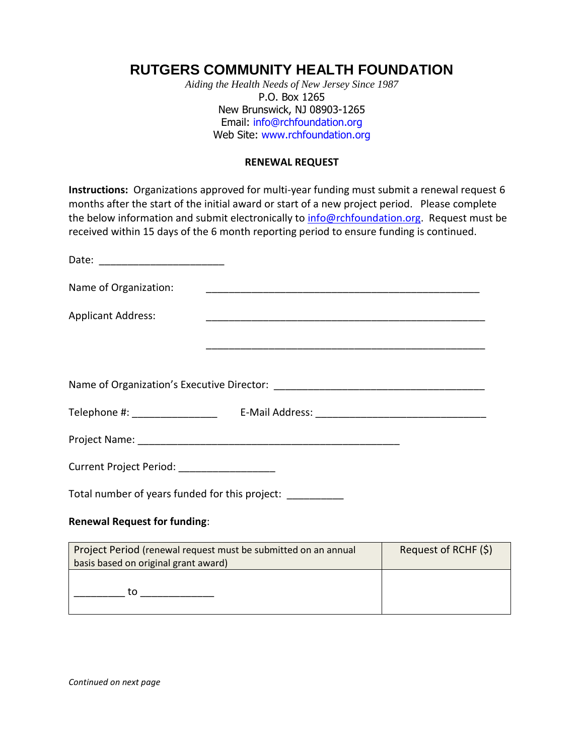## **RUTGERS COMMUNITY HEALTH FOUNDATION**

*Aiding the Health Needs of New Jersey Since 1987* P.O. Box 1265 New Brunswick, NJ 08903-1265 Email: [info@rchfoundation.org](mailto:info@rchfoundation.org) Web Site: [www.rchfoundation.org](http://www.rchfoundation.org/)

## **RENEWAL REQUEST**

**Instructions:** Organizations approved for multi-year funding must submit a renewal request 6 months after the start of the initial award or start of a new project period. Please complete the below information and submit electronically to [info@rchfoundation.org.](mailto:info@rchfoundation.org) Request must be received within 15 days of the 6 month reporting period to ensure funding is continued.

| Name of Organization:                                          |  |                      |
|----------------------------------------------------------------|--|----------------------|
| <b>Applicant Address:</b>                                      |  |                      |
|                                                                |  |                      |
|                                                                |  |                      |
|                                                                |  |                      |
|                                                                |  |                      |
|                                                                |  |                      |
| Current Project Period: _________________                      |  |                      |
| Total number of years funded for this project: __________      |  |                      |
| <b>Renewal Request for funding:</b>                            |  |                      |
| Project Period (renewal request must be submitted on an annual |  | Request of RCHF (\$) |

basis based on original grant award)  $\_$  to  $\_$   $\_$   $\_$   $\_$ 

*Continued on next page*